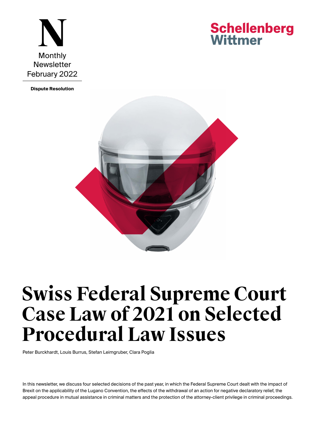

**Schellenberg** Wittmer

**[Dispute Resolution](https://www.swlegal.ch/en/expertise/pasector-detail/dispute-resolution/)**



# **Swiss Federal Supreme Court Case Law of 2021 on Selected Procedural Law Issues**

[Peter Burckhardt](https://www.swlegal.ch/en/lawyers/lawyer-detail/peter-burckhardt/), [Louis Burrus,](https://www.swlegal.ch/en/lawyers/lawyer-detail/louis-burrus/) [Stefan Leimgruber](https://www.swlegal.ch/en/lawyers/lawyer-detail/stefan-leimgruber/), [Clara Poglia](https://www.swlegal.ch/en/lawyers/lawyer-detail/clara-poglia/)

In this newsletter, we discuss four selected decisions of the past year, in which the Federal Supreme Court dealt with the impact of Brexit on the applicability of the Lugano Convention, the effects of the withdrawal of an action for negative declaratory relief, the appeal procedure in mutual assistance in criminal matters and the protection of the attorney-client privilege in criminal proceedings.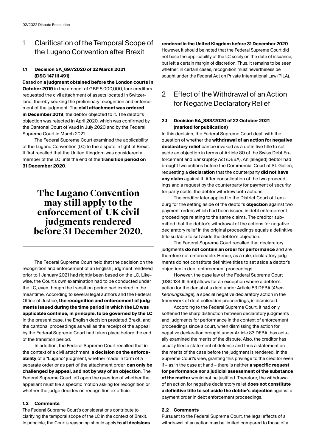## 1 Clarification of the Temporal Scope of the Lugano Convention after Brexit

## **1.1 Decision 5A\_697/2020 of 22 March 2021 (DSC 147 III 491)**

Based on **a judgment obtained before the London courts in October 2019** in the amount of GBP 8,000,000, four creditors requested the civil attachment of assets located in Switzerland, thereby seeking the preliminary recognition and enforcement of the judgment. The **civil attachment was ordered in December 2019**; the debtor objected to it. The debtor's objection was rejected in April 2020, which was confirmed by the Cantonal Court of Vaud in July 2020 and by the Federal Supreme Court in March 2021.

The Federal Supreme Court examined the applicability of the Lugano Convention (LC) to the dispute in light of Brexit. It first recalled that the United Kingdom was considered a member of the LC until the end of the **transition period on 31 December 2020**.

# **The Lugano Convention may still apply to the enforcement of UK civil judgments rendered before 31 December 2020.**

The Federal Supreme Court held that the decision on the recognition and enforcement of an English judgment rendered prior to 1 January 2021 had rightly been based on the LC. Likewise, the Court's own examination had to be conducted under the LC, even though the transition period had expired in the meantime. According to several legal authors and the Federal Office of Justice, **the recognition and enforcement of judgments issued during the time period in which the LC was applicable continue, in principle, to be governed by the LC**. In the present case, the English decision predated Brexit, and the cantonal proceedings as well as the receipt of the appeal by the Federal Supreme Court had taken place before the end of the transition period.

In addition, the Federal Supreme Court recalled that in the context of a civil attachment, **a decision on the enforceability** of a "Lugano" judgment, whether made in form of a separate order or as part of the attachment order, **can only be challenged by appeal, and not by way of an objection**. The Federal Supreme Court left open the question of whether the appellant must file a specific motion asking for recognition or whether the judge decides on recognition ex officio.

## **1.2 Comments**

The Federal Supreme Court's considerations contribute to clarifying the temporal scope of the LC in the context of Brexit. In principle, the Court's reasoning should apply **to all decisions** 

## **rendered in the United Kingdom before 31 December 2020**.

However, it should be noted that the Federal Supreme Court did not base the applicability of the LC solely on the date of issuance, but left a certain margin of discretion. Thus, it remains to be seen whether, in certain cases, recognition must nevertheless be sought under the Federal Act on Private International Law (PILA).

## 2 Effect of the Withdrawal of an Action for Negative Declaratory Relief

## **2.1 Decision 5A\_383/2020 of 22 October 2021 (marked for publication)**

In this decision, the Federal Supreme Court dealt with the question of whether the **withdrawal of an action for negative declaratory relief** can be invoked as a definitive title to set aside an objection in terms of Article 80 of the Swiss Debt Enforcement and Bankruptcy Act (DEBA). An (alleged) debtor had brought two actions before the Commercial Court of St. Gallen, requesting a **declaration** that the counterparty **did not have any claim** against it. After consolidation of the two proceedings and a request by the counterparty for payment of security for party costs, the debtor withdrew both actions.

The creditor later applied to the District Court of Lenzburg for the setting aside of the debtor's **objection** against two payment orders which had been issued in debt enforcement proceedings relating to the same claims. The creditor submitted that the debtor's withdrawal of the actions for negative declaratory relief in the original proceedings equals a definitive title suitable to set aside the debtor's objection.

The Federal Supreme Court recalled that declaratory judgments **do not contain an order for performance** and are therefore not enforceable. Hence, as a rule, declaratory judgments do not constitute definitive titles to set aside a debtor's objection in debt enforcement proceedings.

However, the case law of the Federal Supreme Court (DSC 134 III 656) allows for an exception where a debtor's action for the denial of a debt under Article 83 DEBA (*Aberkennungsklage*), a special negative declaratory action in the framework of debt collection proceedings, is dismissed.

According to the Federal Supreme Court, it had only softened the sharp distinction between declaratory judgments and judgments for performance in the context of enforcement proceedings since a court, when dismissing the action for negative declaration brought under Article 83 DEBA, has actually examined the merits of the dispute. Also, the creditor has usually filed a statement of defense and thus a statement on the merits of the case before the judgment is rendered. In the Supreme Court's view, granting this privilege to the creditor even if – as in the case at hand – there is neither **a specific request for performance nor a judicial assessment of the substance of the matter** would not be justified. Therefore, the withdrawal of an action for negative declaratory relief **does not constitute a definitive title to set aside the debtor's objection** against a payment order in debt enforcement proceedings.

## **2.2 Comments**

Pursuant to the Federal Supreme Court, the legal effects of a withdrawal of an action may be limited compared to those of a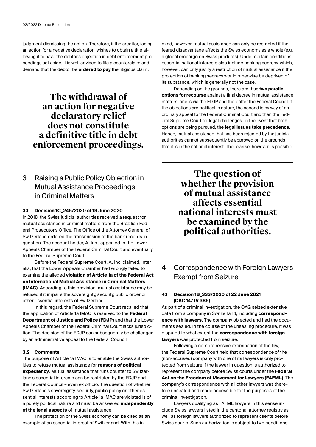judgment dismissing the action. Therefore, if the creditor, facing an action for a negative declaration, wishes to obtain a title allowing it to have the debtor's objection in debt enforcement proceedings set aside, it is well advised to file a counterclaim and demand that the debtor be **ordered to pay** the litigious claim.

# **The withdrawal of an action for negative declaratory relief does not constitute a definitive title in debt enforcement proceedings.**

## 3 Raising a Public Policy Objection in Mutual Assistance Proceedings in Criminal Matters

## **3.1 Decision 1C\_245/2020 of 19 June 2020**

In 2018, the Swiss judicial authorities received a request for mutual assistance in criminal matters from the Brazilian Federal Prosecutor's Office. The Office of the Attorney General of Switzerland ordered the transmission of the bank records in question. The account holder, A. Inc., appealed to the Lower Appeals Chamber of the Federal Criminal Court and eventually to the Federal Supreme Court.

Before the Federal Supreme Court, A. Inc. claimed, inter alia, that the Lower Appeals Chamber had wrongly failed to examine the alleged **violation of Article 1a of the Federal Act on International Mutual Assistance in Criminal Matters (IMAC)**. According to this provision, mutual assistance may be refused if it impairs the sovereignty, security, public order or other essential interests of Switzerland.

In this regard, the Federal Supreme Court recalled that the application of Article 1a IMAC is reserved to the **Federal Department of Justice and Police (FDJP)** and that the Lower Appeals Chamber of the Federal Criminal Court lacks jurisdiction. The decision of the FDJP can subsequently be challenged by an administrative appeal to the Federal Council.

## **3.2 Comments**

The purpose of Article 1a IMAC is to enable the Swiss authorities to refuse mutual assistance for **reasons of political expediency**. Mutual assistance that runs counter to Switzerland's essential interests can be restricted by the FDJP and the Federal Council – even ex officio. The question of whether Switzerland's sovereignty, security, public policy or other essential interests according to Article 1a IMAC are violated is of a purely political nature and must be answered **independently of the legal aspects** of mutual assistance.

The protection of the Swiss economy can be cited as an example of an essential interest of Switzerland. With this in

mind, however, mutual assistance can only be restricted if the feared disadvantage affects the Swiss economy as a whole (e.g. a global embargo on Swiss products). Under certain conditions, essential national interests also include banking secrecy, which, however, can only justify a restriction of mutual assistance if the protection of banking secrecy would otherwise be deprived of its substance, which is generally not the case.

Depending on the grounds, there are thus **two parallel options for recourse** against a final decree in mutual assistance matters: one is via the FDJP and thereafter the Federal Council if the objections are political in nature, the second is by way of an ordinary appeal to the Federal Criminal Court and then the Federal Supreme Court for legal challenges. In the event that both options are being pursued, the **legal issues take precedence**. Hence, mutual assistance that has been rejected by the judicial authorities cannot subsequently be approved on the grounds that it is in the national interest. The reverse, however, is possible.

> **The question of whether the provision of mutual assistance affects essential national interests must be examined by the political authorities.**

4 Correspondence with Foreign Lawyers Exempt from Seizure

## **4.1 Decision 1B\_333/2020 of 22 June 2021 (DSC 147 IV 385)**

As part of a criminal investigation, the OAG seized extensive data from a company in Switzerland, including **correspondence with lawyers**. The company objected and had the documents sealed. In the course of the unsealing procedure, it was disputed to what extent the **correspondence with foreign lawyers** was protected from seizure.

Following a comprehensive examination of the law, the Federal Supreme Court held that correspondence of the (non-accused) company with one of its lawyers is only protected from seizure if the lawyer in question is authorized to represent the company before Swiss courts under the **Federal Act on the Freedom of Movement for Lawyers (FAFML)**. The company's correspondence with all other lawyers was therefore unsealed and made accessible for the purposes of the criminal investigation.

Lawyers qualifying as FAFML lawyers in this sense include Swiss lawyers listed in the cantonal attorney registry as well as foreign lawyers authorized to represent clients before Swiss courts. Such authorization is subject to two conditions: